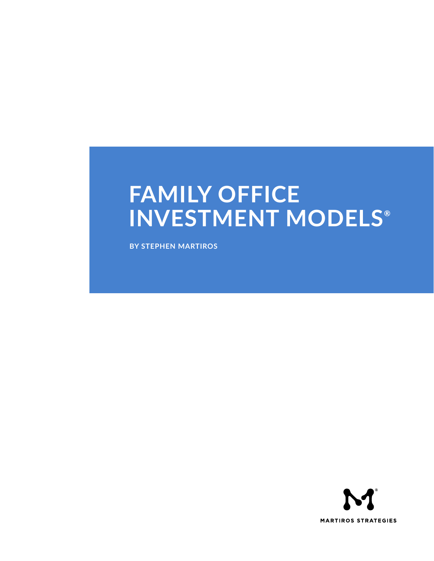# **FAMILY OFFICE INVESTMENT MODELS®**

**BY STEPHEN MARTIROS**

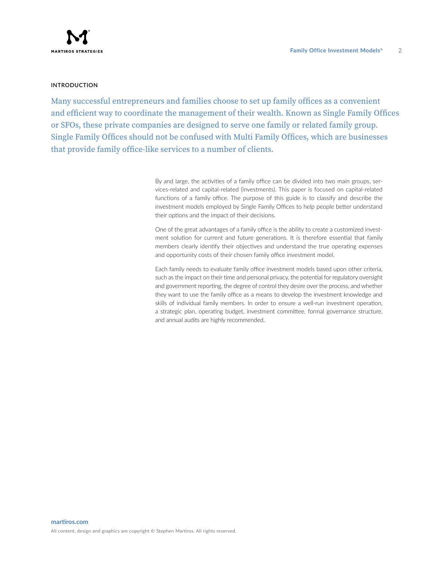# **INTRODUCTION**

Many successful entrepreneurs and families choose to set up family offices as a convenient and efficient way to coordinate the management of their wealth. Known as Single Family Offices or SFOs, these private companies are designed to serve one family or related family group. Single Family Offices should not be confused with Multi Family Offices, which are businesses that provide family office-like services to a number of clients.

> By and large, the activities of a family office can be divided into two main groups, services-related and capital-related (investments). This paper is focused on capital-related functions of a family office. The purpose of this guide is to classify and describe the investment models employed by Single Family Offices to help people better understand their options and the impact of their decisions.

> One of the great advantages of a family office is the ability to create a customized investment solution for current and future generations. It is therefore essential that family members clearly identify their objectives and understand the true operating expenses and opportunity costs of their chosen family office investment model.

> Each family needs to evaluate family office investment models based upon other criteria, such as the impact on their time and personal privacy, the potential for regulatory oversight and government reporting, the degree of control they desire over the process, and whether they want to use the family office as a means to develop the investment knowledge and skills of individual family members. In order to ensure a well-run investment operation, a strategic plan, operating budget, investment committee, formal governance structure, and annual audits are highly recommended.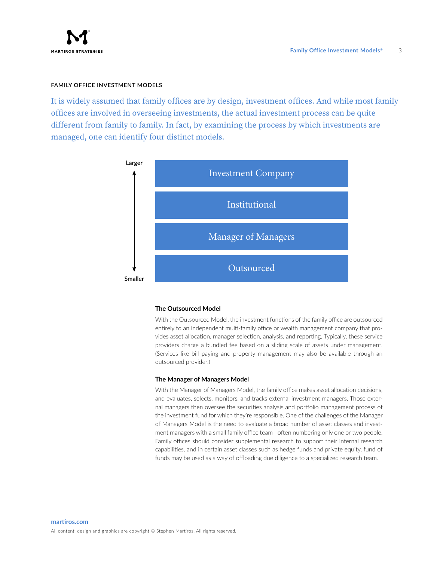# **FAMILY OFFICE INVESTMENT MODELS**

It is widely assumed that family offices are by design, investment offices. And while most family offices are involved in overseeing investments, the actual investment process can be quite different from family to family. In fact, by examining the process by which investments are managed, one can identify four distinct models.



## **The Outsourced Model**

With the Outsourced Model, the investment functions of the family office are outsourced entirely to an independent multi-family office or wealth management company that provides asset allocation, manager selection, analysis, and reporting. Typically, these service providers charge a bundled fee based on a sliding scale of assets under management. (Services like bill paying and property management may also be available through an outsourced provider.)

#### **The Manager of Managers Model**

With the Manager of Managers Model, the family office makes asset allocation decisions, and evaluates, selects, monitors, and tracks external investment managers. Those external managers then oversee the securities analysis and portfolio management process of the investment fund for which they're responsible. One of the challenges of the Manager of Managers Model is the need to evaluate a broad number of asset classes and investment managers with a small family office team—often numbering only one or two people. Family offices should consider supplemental research to support their internal research capabilities, and in certain asset classes such as hedge funds and private equity, fund of funds may be used as a way of offloading due diligence to a specialized research team.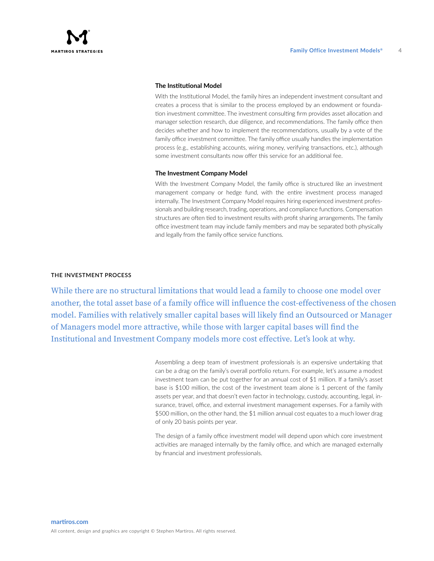## **The Institutional Model**

With the Institutional Model, the family hires an independent investment consultant and creates a process that is similar to the process employed by an endowment or foundation investment committee. The investment consulting firm provides asset allocation and manager selection research, due diligence, and recommendations. The family office then decides whether and how to implement the recommendations, usually by a vote of the family office investment committee. The family office usually handles the implementation process (e.g., establishing accounts, wiring money, verifying transactions, etc.), although some investment consultants now offer this service for an additional fee.

## **The Investment Company Model**

With the Investment Company Model, the family office is structured like an investment management company or hedge fund, with the entire investment process managed internally. The Investment Company Model requires hiring experienced investment professionals and building research, trading, operations, and compliance functions. Compensation structures are often tied to investment results with profit sharing arrangements. The family office investment team may include family members and may be separated both physically and legally from the family office service functions.

## **THE INVESTMENT PROCESS**

While there are no structural limitations that would lead a family to choose one model over another, the total asset base of a family office will influence the cost-effectiveness of the chosen model. Families with relatively smaller capital bases will likely find an Outsourced or Manager of Managers model more attractive, while those with larger capital bases will find the Institutional and Investment Company models more cost effective. Let's look at why.

> Assembling a deep team of investment professionals is an expensive undertaking that can be a drag on the family's overall portfolio return. For example, let's assume a modest investment team can be put together for an annual cost of \$1 million. If a family's asset base is \$100 million, the cost of the investment team alone is 1 percent of the family assets per year, and that doesn't even factor in technology, custody, accounting, legal, insurance, travel, office, and external investment management expenses. For a family with \$500 million, on the other hand, the \$1 million annual cost equates to a much lower drag of only 20 basis points per year.

> The design of a family office investment model will depend upon which core investment activities are managed internally by the family office, and which are managed externally by financial and investment professionals.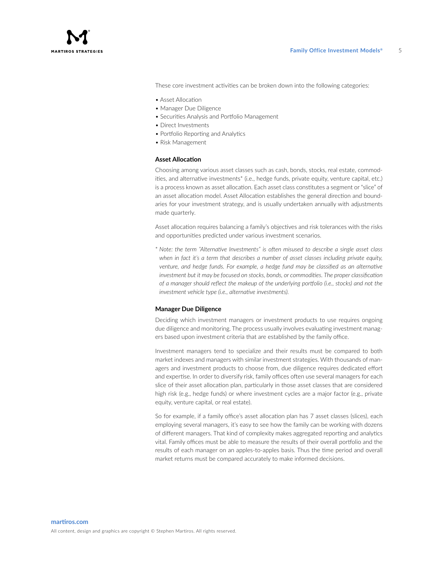These core investment activities can be broken down into the following categories:

- Asset Allocation
- Manager Due Diligence
- Securities Analysis and Portfolio Management
- Direct Investments
- Portfolio Reporting and Analytics
- Risk Management

## **Asset Allocation**

Choosing among various asset classes such as cash, bonds, stocks, real estate, commodities, and alternative investments<sup>\*</sup> (i.e., hedge funds, private equity, venture capital, etc.) is a process known as asset allocation. Each asset class constitutes a segment or "slice" of an asset allocation model. Asset Allocation establishes the general direction and boundaries for your investment strategy, and is usually undertaken annually with adjustments made quarterly.

Asset allocation requires balancing a family's objectives and risk tolerances with the risks and opportunities predicted under various investment scenarios.

\* *Note: the term "Alternative Investments" is often misused to describe a single asset class when in fact it's a term that describes a number of asset classes including private equity, venture, and hedge funds. For example, a hedge fund may be classified as an alternative investment but it may be focused on stocks, bonds, or commodities. The proper classification of a manager should reflect the makeup of the underlying portfolio (i.e., stocks) and not the investment vehicle type (i.e., alternative investments).*

## **Manager Due Diligence**

Deciding which investment managers or investment products to use requires ongoing due diligence and monitoring. The process usually involves evaluating investment managers based upon investment criteria that are established by the family office.

Investment managers tend to specialize and their results must be compared to both market indexes and managers with similar investment strategies. With thousands of managers and investment products to choose from, due diligence requires dedicated effort and expertise. In order to diversify risk, family offices often use several managers for each slice of their asset allocation plan, particularly in those asset classes that are considered high risk (e.g., hedge funds) or where investment cycles are a major factor (e.g., private equity, venture capital, or real estate).

So for example, if a family office's asset allocation plan has 7 asset classes (slices), each employing several managers, it's easy to see how the family can be working with dozens of different managers. That kind of complexity makes aggregated reporting and analytics vital. Family offices must be able to measure the results of their overall portfolio and the results of each manager on an apples-to-apples basis. Thus the time period and overall market returns must be compared accurately to make informed decisions.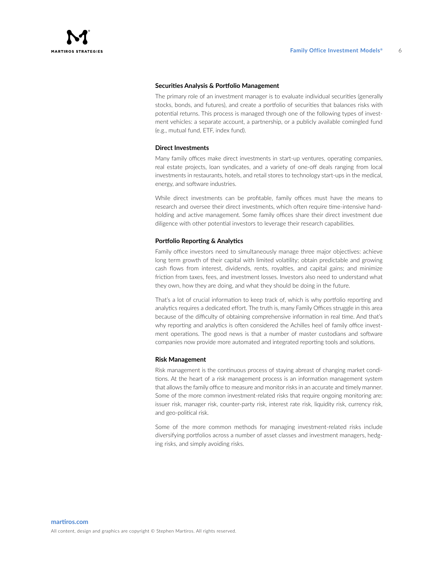

# **Securities Analysis & Portfolio Management**

The primary role of an investment manager is to evaluate individual securities (generally stocks, bonds, and futures), and create a portfolio of securities that balances risks with potential returns. This process is managed through one of the following types of investment vehicles: a separate account, a partnership, or a publicly available comingled fund (e.g., mutual fund, ETF, index fund).

## **Direct Investments**

Many family offices make direct investments in start-up ventures, operating companies, real estate projects, loan syndicates, and a variety of one-off deals ranging from local investments in restaurants, hotels, and retail stores to technology start-ups in the medical, energy, and software industries.

While direct investments can be profitable, family offices must have the means to research and oversee their direct investments, which often require time-intensive handholding and active management. Some family offices share their direct investment due diligence with other potential investors to leverage their research capabilities.

## **Portfolio Reporting & Analytics**

Family office investors need to simultaneously manage three major objectives: achieve long term growth of their capital with limited volatility; obtain predictable and growing cash flows from interest, dividends, rents, royalties, and capital gains; and minimize friction from taxes, fees, and investment losses. Investors also need to understand what they own, how they are doing, and what they should be doing in the future.

That's a lot of crucial information to keep track of, which is why portfolio reporting and analytics requires a dedicated effort. The truth is, many Family Offices struggle in this area because of the difficulty of obtaining comprehensive information in real time. And that's why reporting and analytics is often considered the Achilles heel of family office investment operations. The good news is that a number of master custodians and software companies now provide more automated and integrated reporting tools and solutions.

## **Risk Management**

Risk management is the continuous process of staying abreast of changing market conditions. At the heart of a risk management process is an information management system that allows the family office to measure and monitor risks in an accurate and timely manner. Some of the more common investment-related risks that require ongoing monitoring are: issuer risk, manager risk, counter-party risk, interest rate risk, liquidity risk, currency risk, and geo-political risk.

Some of the more common methods for managing investment-related risks include diversifying portfolios across a number of asset classes and investment managers, hedging risks, and simply avoiding risks.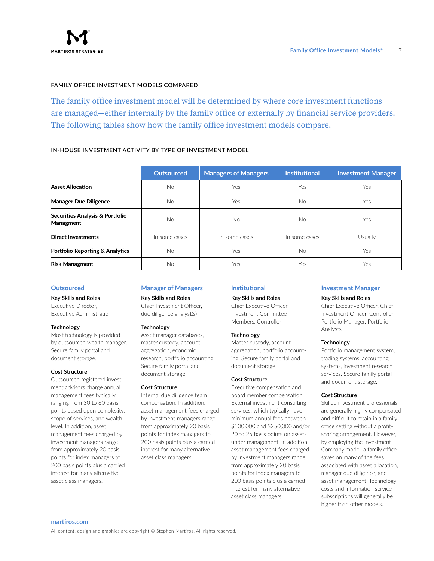# **FAMILY OFFICE INVESTMENT MODELS COMPARED**

The family office investment model will be determined by where core investment functions are managed—either internally by the family office or externally by financial service providers. The following tables show how the family office investment models compare.

# **IN-HOUSE INVESTMENT ACTIVITY BY TYPE OF INVESTMENT MODEL**

|                                              | <b>Outsourced</b> | <b>Managers of Managers</b> | <b>Institutional</b> | <b>Investment Manager</b> |
|----------------------------------------------|-------------------|-----------------------------|----------------------|---------------------------|
| <b>Asset Allocation</b>                      | No.               | Yes                         | Yes                  | Yes                       |
| <b>Manager Due Diligence</b>                 | No.               | Yes                         | No.                  | Yes                       |
| Securities Analysis & Portfolio<br>Managment | No.               | <b>No</b>                   | <b>No</b>            | Yes                       |
| <b>Direct Investments</b>                    | In some cases     | In some cases               | In some cases        | Usually                   |
| <b>Portfolio Reporting &amp; Analytics</b>   | No.               | Yes                         | No                   | Yes                       |
| <b>Risk Managment</b>                        | No                | Yes                         | Yes                  | Yes                       |

## **Outsourced**

**Key Skills and Roles** 

Executive Director, Executive Administration

#### **Technology**

Most technology is provided by outsourced wealth manager. Secure family portal and document storage.

#### **Cost Structure**

Outsourced registered investment advisors charge annual management fees typically ranging from 30 to 60 basis points based upon complexity, scope of services, and wealth level. In addition, asset management fees charged by investment managers range from approximately 20 basis points for index managers to 200 basis points plus a carried interest for many alternative asset class managers.

## **Manager of Managers**

**Key Skills and Roles**

Chief Investment Officer, due diligence analyst(s)

#### **Technology**

Asset manager databases, master custody, account aggregation, economic research, portfolio accounting. Secure family portal and document storage.

## **Cost Structure**

Internal due diligence team compensation. In addition, asset management fees charged by investment managers range from approximately 20 basis points for index managers to 200 basis points plus a carried interest for many alternative asset class managers

## **Institutional**

## **Key Skills and Roles**

Chief Executive Officer, Investment Committee Members, Controller

#### **Technology**

Master custody, account aggregation, portfolio accounting. Secure family portal and document storage.

#### **Cost Structure**

Executive compensation and board member compensation. External investment consulting services, which typically have minimum annual fees between \$100,000 and \$250,000 and/or 20 to 25 basis points on assets under management. In addition, asset management fees charged by investment managers range from approximately 20 basis points for index managers to 200 basis points plus a carried interest for many alternative asset class managers.

## **Investment Manager**

## **Key Skills and Roles**

Chief Executive Officer, Chief Investment Officer, Controller, Portfolio Manager, Portfolio Analysts

### **Technology**

Portfolio management system, trading systems, accounting systems, investment research services. Secure family portal and document storage.

### **Cost Structure**

Skilled investment professionals are generally highly compensated and difficult to retain in a family office setting without a profitsharing arrangement. However, by employing the Investment Company model, a family office saves on many of the fees associated with asset allocation, manager due diligence, and asset management. Technology costs and information service subscriptions will generally be higher than other models.

#### **martiros.com**

All content, design and graphics are copyright © Stephen Martiros. All rights reserved.